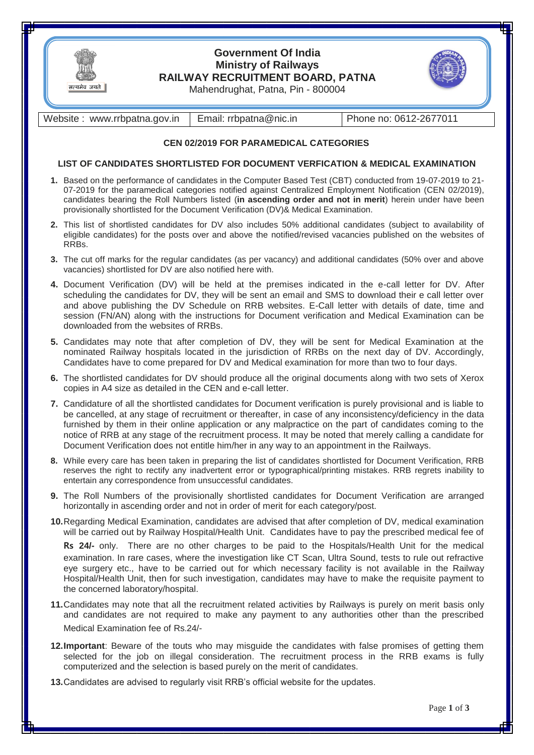

## **Government Of India Ministry of Railways RAILWAY RECRUITMENT BOARD, PATNA**



Mahendrughat, Patna, Pin - 800004

Website : www.rrbpatna.gov.in | Email: rrbpatna@nic.in | Phone no: 0612-2677011

### **CEN 02/2019 FOR PARAMEDICAL CATEGORIES**

### **LIST OF CANDIDATES SHORTLISTED FOR DOCUMENT VERFICATION & MEDICAL EXAMINATION**

- **1.** Based on the performance of candidates in the Computer Based Test (CBT) conducted from 19-07-2019 to 21- 07-2019 for the paramedical categories notified against Centralized Employment Notification (CEN 02/2019), candidates bearing the Roll Numbers listed (**in ascending order and not in merit**) herein under have been provisionally shortlisted for the Document Verification (DV)& Medical Examination.
- **2.** This list of shortlisted candidates for DV also includes 50% additional candidates (subject to availability of eligible candidates) for the posts over and above the notified/revised vacancies published on the websites of RRBs.
- **3.** The cut off marks for the regular candidates (as per vacancy) and additional candidates (50% over and above vacancies) shortlisted for DV are also notified here with.
- **4.** Document Verification (DV) will be held at the premises indicated in the e-call letter for DV. After scheduling the candidates for DV, they will be sent an email and SMS to download their e call letter over and above publishing the DV Schedule on RRB websites. E-Call letter with details of date, time and session (FN/AN) along with the instructions for Document verification and Medical Examination can be downloaded from the websites of RRBs.
- **5.** Candidates may note that after completion of DV, they will be sent for Medical Examination at the nominated Railway hospitals located in the jurisdiction of RRBs on the next day of DV. Accordingly, Candidates have to come prepared for DV and Medical examination for more than two to four days.
- **6.** The shortlisted candidates for DV should produce all the original documents along with two sets of Xerox copies in A4 size as detailed in the CEN and e-call letter.
- **7.** Candidature of all the shortlisted candidates for Document verification is purely provisional and is liable to be cancelled, at any stage of recruitment or thereafter, in case of any inconsistency/deficiency in the data furnished by them in their online application or any malpractice on the part of candidates coming to the notice of RRB at any stage of the recruitment process. It may be noted that merely calling a candidate for Document Verification does not entitle him/her in any way to an appointment in the Railways.
- **8.** While every care has been taken in preparing the list of candidates shortlisted for Document Verification, RRB reserves the right to rectify any inadvertent error or typographical/printing mistakes. RRB regrets inability to entertain any correspondence from unsuccessful candidates.
- **9.** The Roll Numbers of the provisionally shortlisted candidates for Document Verification are arranged horizontally in ascending order and not in order of merit for each category/post.
- **10.**Regarding Medical Examination, candidates are advised that after completion of DV, medical examination will be carried out by Railway Hospital/Health Unit. Candidates have to pay the prescribed medical fee of

**Rs 24/-** only. There are no other charges to be paid to the Hospitals/Health Unit for the medical examination. In rare cases, where the investigation like CT Scan, Ultra Sound, tests to rule out refractive eye surgery etc., have to be carried out for which necessary facility is not available in the Railway Hospital/Health Unit, then for such investigation, candidates may have to make the requisite payment to the concerned laboratory/hospital.

- **11.**Candidates may note that all the recruitment related activities by Railways is purely on merit basis only and candidates are not required to make any payment to any authorities other than the prescribed Medical Examination fee of Rs.24/-
- **12.Important**: Beware of the touts who may misguide the candidates with false promises of getting them selected for the job on illegal consideration. The recruitment process in the RRB exams is fully computerized and the selection is based purely on the merit of candidates.
- **13.**Candidates are advised to regularly visit RRB's official website for the updates.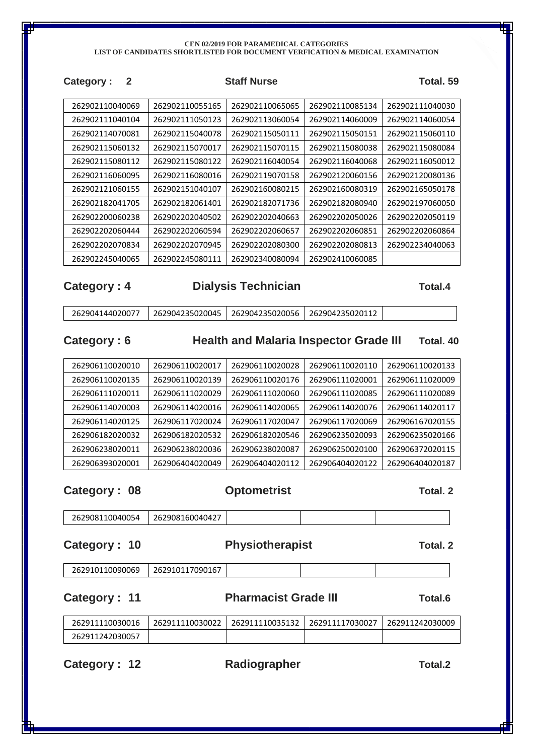### **CEN 02/2019 FOR PARAMEDICAL CATEGORIES LIST OF CANDIDATES SHORTLISTED FOR DOCUMENT VERFICATION & MEDICAL EXAMINATION**

| 2<br><b>Category:</b> |                 | <b>Staff Nurse</b> |                 | Total. 59       |
|-----------------------|-----------------|--------------------|-----------------|-----------------|
| 262902110040069       | 262902110055165 | 262902110065065    | 262902110085134 | 262902111040030 |
| 262902111040104       | 262902111050123 | 262902113060054    | 262902114060009 | 262902114060054 |
| 262902114070081       | 262902115040078 | 262902115050111    | 262902115050151 | 262902115060110 |
| 262902115060132       | 262902115070017 | 262902115070115    | 262902115080038 | 262902115080084 |
| 262902115080112       | 262902115080122 | 262902116040054    | 262902116040068 | 262902116050012 |
| 262902116060095       | 262902116080016 | 262902119070158    | 262902120060156 | 262902120080136 |
| 262902121060155       | 262902151040107 | 262902160080215    | 262902160080319 | 262902165050178 |
| 262902182041705       | 262902182061401 | 262902182071736    | 262902182080940 | 262902197060050 |
| 262902200060238       | 262902202040502 | 262902202040663    | 262902202050026 | 262902202050119 |
| 262902202060444       | 262902202060594 | 262902202060657    | 262902202060851 | 262902202060864 |
| 262902202070834       | 262902202070945 | 262902202080300    | 262902202080813 | 262902234040063 |
| 262902245040065       | 262902245080111 | 262902340080094    | 262902410060085 |                 |

### **Category : 4 Dialysis Technician Total.4**

| 262904235020045   262904235020056   262904235020112<br>262904144020077 |
|------------------------------------------------------------------------|
|------------------------------------------------------------------------|

## **Category : 6 Health and Malaria Inspector Grade III Total. 40**

| 262906110020010 | 262906110020017 | 262906110020028 | 262906110020110 | 262906110020133 |
|-----------------|-----------------|-----------------|-----------------|-----------------|
| 262906110020135 | 262906110020139 | 262906110020176 | 262906111020001 | 262906111020009 |
| 262906111020011 | 262906111020029 | 262906111020060 | 262906111020085 | 262906111020089 |
| 262906114020003 | 262906114020016 | 262906114020065 | 262906114020076 | 262906114020117 |
| 262906114020125 | 262906117020024 | 262906117020047 | 262906117020069 | 262906167020155 |
| 262906182020032 | 262906182020532 | 262906182020546 | 262906235020093 | 262906235020166 |
| 262906238020011 | 262906238020036 | 262906238020087 | 262906250020100 | 262906372020115 |
| 262906393020001 | 262906404020049 | 262906404020112 | 262906404020122 | 262906404020187 |

**Category : 08 Optometrist Total. 2 Total. 2** 

| 262908110040054 | $\sim$ $\sim$ $\sim$<br>262908160040427 |  |  |
|-----------------|-----------------------------------------|--|--|
|                 |                                         |  |  |

### **Category : 10 Physiotherapist Total. 2**

| 262910117090167<br>262910110090069 |
|------------------------------------|
|------------------------------------|

## **Category : 11 Pharmacist Grade III Total.6**

| 262911110030016 | 262911110030022 | 262911110035132   262911117030027 | ! 262911242030009 |
|-----------------|-----------------|-----------------------------------|-------------------|
| 262911242030057 |                 |                                   |                   |

**Category : 12 Radiographer Total.2**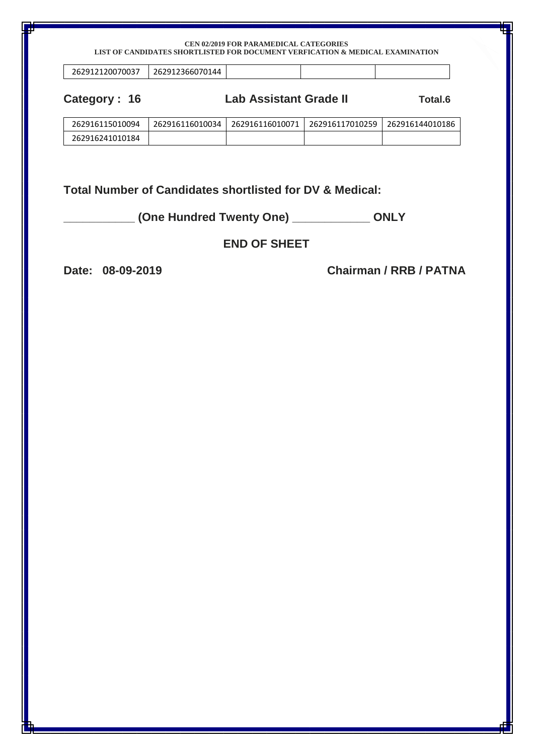### **CEN 02/2019 FOR PARAMEDICAL CATEGORIES LIST OF CANDIDATES SHORTLISTED FOR DOCUMENT VERFICATION & MEDICAL EXAMINATION**

| 262912120070037 | 262912366070144 |  |  |  |
|-----------------|-----------------|--|--|--|
|-----------------|-----------------|--|--|--|

**Category : 16 Lab Assistant Grade II Total.6**

| 262916115010094 | 262916116010034 | 262916116010071 | 262916117010259   262916144010186 |  |
|-----------------|-----------------|-----------------|-----------------------------------|--|
| 262916241010184 |                 |                 |                                   |  |

**Total Number of Candidates shortlisted for DV & Medical:** 

**\_\_\_\_\_\_\_\_\_\_\_ (One Hundred Twenty One) \_\_\_\_\_\_\_\_\_\_\_\_ ONLY**

## **END OF SHEET**

**Date: 08-09-2019 Chairman / RRB / PATNA**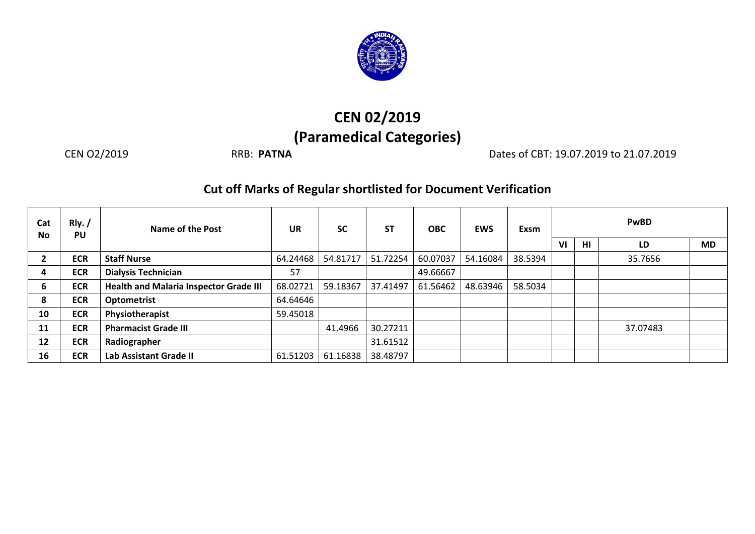

# **CEN 02/2019 (Paramedical Categories)**

CEN O2/2019 RRB: **PATNA** Dates of CBT: 19.07.2019 to 21.07.2019

## **Cut off Marks of Regular shortlisted for Document Verification**

| Cat<br><b>No</b> | Rly. /<br>PU | Name of the Post                              | <b>UR</b> | <b>SC</b> | <b>ST</b> | <b>OBC</b> | <b>EWS</b> | <b>Exsm</b> |    |    | <b>PwBD</b> |           |
|------------------|--------------|-----------------------------------------------|-----------|-----------|-----------|------------|------------|-------------|----|----|-------------|-----------|
|                  |              |                                               |           |           |           |            |            |             | VI | HI | LD          | <b>MD</b> |
|                  | <b>ECR</b>   | <b>Staff Nurse</b>                            | 64.24468  | 54.81717  | 51.72254  | 60.07037   | 54.16084   | 38.5394     |    |    | 35.7656     |           |
| 4                | <b>ECR</b>   | <b>Dialysis Technician</b>                    | 57        |           |           | 49.66667   |            |             |    |    |             |           |
| 6                | <b>ECR</b>   | <b>Health and Malaria Inspector Grade III</b> | 68.02721  | 59.18367  | 37.41497  | 61.56462   | 48.63946   | 58.5034     |    |    |             |           |
| 8                | <b>ECR</b>   | <b>Optometrist</b>                            | 64.64646  |           |           |            |            |             |    |    |             |           |
| 10               | <b>ECR</b>   | Physiotherapist                               | 59.45018  |           |           |            |            |             |    |    |             |           |
| 11               | <b>ECR</b>   | <b>Pharmacist Grade III</b>                   |           | 41.4966   | 30.27211  |            |            |             |    |    | 37.07483    |           |
| 12               | <b>ECR</b>   | Radiographer                                  |           |           | 31.61512  |            |            |             |    |    |             |           |
| 16               | <b>ECR</b>   | Lab Assistant Grade II                        | 61.51203  | 61.16838  | 38.48797  |            |            |             |    |    |             |           |